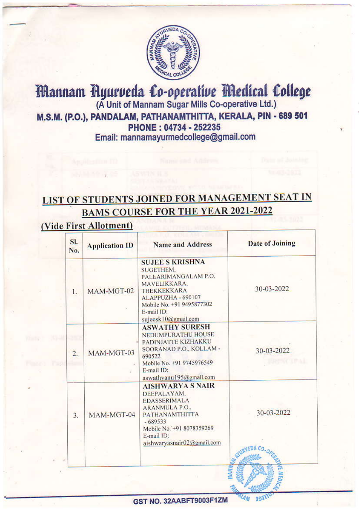

#### Mannam Ayurveda Co-operative Medical College (A Unit of Mannam Sugar Mills Co-operative Ltd.) M.S.M. (P.O.), PANDALAM, PATHANAMTHITTA, KERALA, PIN - 689 501 PHONE: 04734 - 252235 Email: mannamayurmedcollege@gmail.com

### **LIST OF STUDENTS JOINED FOR MANAGEMENT SEAT IN BAMS COURSE FOR THE YEAR 2021-2022**

#### (Vide First Allotment)

| SI.<br>No.       | <b>Application ID</b> | <b>Name and Address</b>                                                                                                                                                                               | <b>Date of Joining</b>   |
|------------------|-----------------------|-------------------------------------------------------------------------------------------------------------------------------------------------------------------------------------------------------|--------------------------|
| 1.               | MAM-MGT-02            | <b>SUJEE S KRISHNA</b><br>SUGETHEM.<br>PALLARIMANGALAM P.O.<br>MAVELIKKARA,<br><b>THEKKEKKARA</b><br>ALAPPUZHA - 690107<br>Mobile No. +91 9495877302<br>E-mail ID:<br>sujeesk10@gmail.com             | 30-03-2022               |
| $\overline{2}$ . | MAM-MGT-03            | <b>ASWATHY SURESH</b><br><b>NEDUMPURATHU HOUSE</b><br>PADINJATTE KIZHAKKU<br>SOORANAD P.O., KOLLAM -<br>690522<br>Mobile No. +91 9745976549<br>E-mail ID:<br>aswathyanu195@gmail.com                  | 30-03-2022<br>2000 CUPAL |
| 3.               | MAM-MGT-04            | <b>AISHWARYA S NAIR</b><br>DEEPALAYAM.<br><b>EDASSERIMALA</b><br><b>ARANMULA P.O.,</b><br><b>PATHANAMTHITTA</b><br>$-689533$<br>Mobile No. +91 8078359269<br>E-mail ID:<br>aishwaryasnair02@gmail.com | 30-03-2022               |

GST NO. 32AABFT9003F1ZM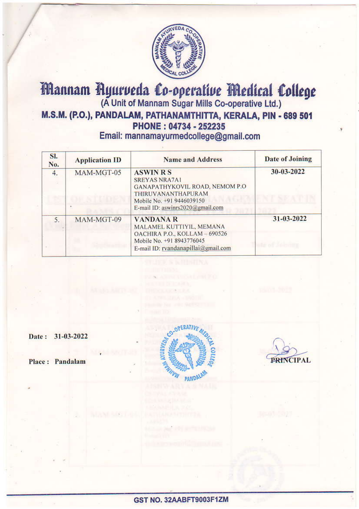

# Mannam Ayurveda Co-operative Medical College M.S.M. (P.O.), PANDALAM, PATHANAMTHITTA, KERALA, PIN - 689 501 PHONE: 04734 - 252235

Email: mannamayurmedcollege@gmail.com

| SI.<br>No. | <b>Application ID</b>                                                                                                                                                            | <b>Name and Address</b>                                                                                                                          | <b>Date of Joining</b> |
|------------|----------------------------------------------------------------------------------------------------------------------------------------------------------------------------------|--------------------------------------------------------------------------------------------------------------------------------------------------|------------------------|
| 4.         | <b>ASWIN R S</b><br>MAM-MGT-05<br><b>SREYAS NRA7A1</b><br>GANAPATHYKOVIL ROAD, NEMOM P.O.<br>THIRUVANANTHAPURAM<br>Mobile No. +91 9446039150<br>E-mail ID: aswinrs2020@gmail.com |                                                                                                                                                  | 30-03-2022             |
| 5.         | MAM-MGT-09                                                                                                                                                                       | <b>VANDANAR</b><br>MALAMEL KUTTIYIL, MEMANA<br>OACHIRA P.O., KOLLAM - 690526<br>Mobile No. +91 8943776045<br>E-mail ID: rvandanapillai@gmail.com | 31-03-2022             |

Date: 31-03-2022

Place: Pandalam



**CIPAL**